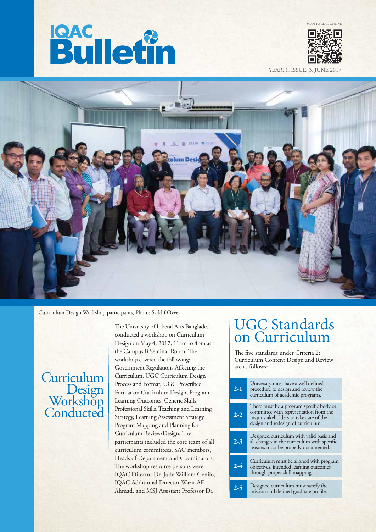# **Bulletin**



YEAR: 1, ISSUE: 3, JU



Curriculum Design Workshop participants, Photo: Saddif Ovee

## **Curriculum** Design Workshop **Conducted**

The University of Liberal Arts Bangladesh conducted a workshop on Curriculum Design on May 4, 2017, 11am to 4pm at the Campus B Seminar Room. The workshop covered the following: Government Regulations Affecting the Curriculum, UGC Curriculum Design Process and Format, UGC Prescribed Format on Curriculum Design, Program Learning Outcomes, Generic Skills, Professional Skills, Teaching and Learning Strategy, Learning Assessment Strategy, Program Mapping and Planning for Curriculum Review/Design. The participants included the core team of all curriculum committees, SAC members, Heads of Department and Coordinators. The workshop resource persons were IQAC Director Dr. Jude William Genilo, IQAC Additional Director Wazir AF Ahmad, and MSJ Assistant Professor Dr.

## UGC Standards on Curriculum

The five standards under Criteria 2: Curriculum Content Design and Review are as follows:

| $2-1$   | University must have a well defined<br>procedure to design and review the<br>curriculum of academic programs.                                                      |
|---------|--------------------------------------------------------------------------------------------------------------------------------------------------------------------|
| $2 - 2$ | There must be a program specific body or<br>committee with representation from the<br>major stakeholders to take care of the<br>design and redesign of curriculum. |
| $2-3$   | Designed curriculum with valid basis and<br>all changes in the curriculum with specific<br>reasons must be properly documented.                                    |
| $2 - 4$ | Curriculum must be aligned with program<br>objectives, intended learning outcomes<br>through proper skill mapping.                                                 |
| 2-5     | Designed curriculum must satisfy the<br>mission and defined graduate profile.                                                                                      |